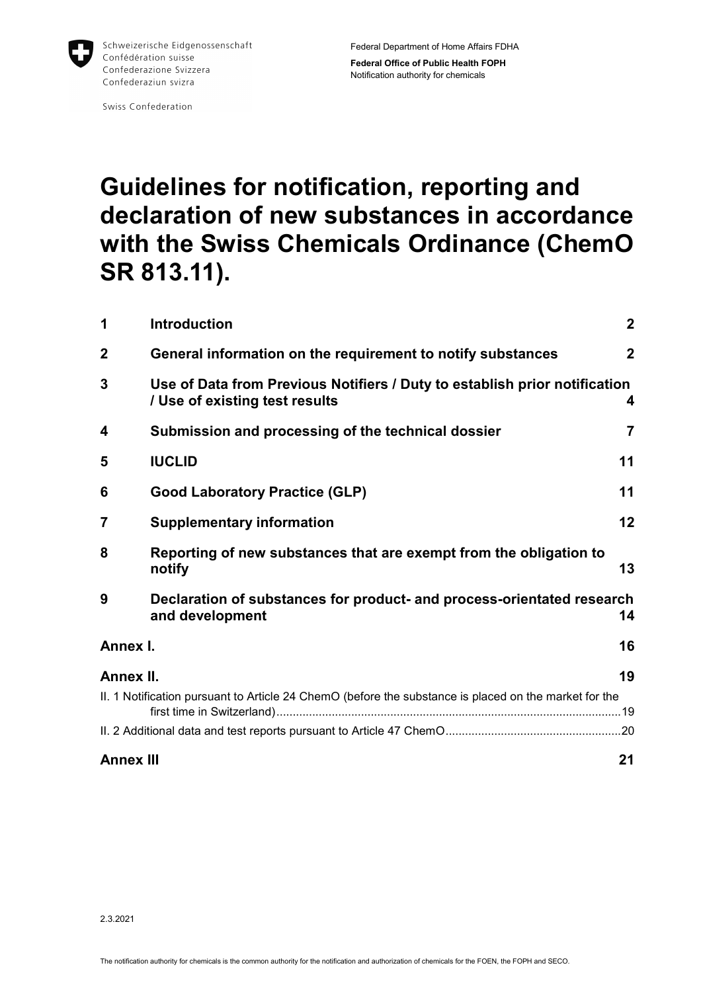

Swiss Confederation

# **Guidelines for notification, reporting and declaration of new substances in accordance with the Swiss Chemicals Ordinance (ChemO SR 813.11).**

| 1                | <b>Introduction</b>                                                                                               | $\mathbf{2}$ |  |
|------------------|-------------------------------------------------------------------------------------------------------------------|--------------|--|
| $\mathbf 2$      | General information on the requirement to notify substances                                                       | $\mathbf{2}$ |  |
| 3                | Use of Data from Previous Notifiers / Duty to establish prior notification<br>/ Use of existing test results<br>4 |              |  |
| 4                | Submission and processing of the technical dossier                                                                | 7            |  |
| 5                | <b>IUCLID</b>                                                                                                     | 11           |  |
| 6                | <b>Good Laboratory Practice (GLP)</b>                                                                             | 11           |  |
| 7                | <b>Supplementary information</b>                                                                                  | 12           |  |
| 8                | Reporting of new substances that are exempt from the obligation to<br>13<br>notify                                |              |  |
| 9                | Declaration of substances for product- and process-orientated research<br>and development                         | 14           |  |
| Annex I.         |                                                                                                                   | 16           |  |
| Annex II.        |                                                                                                                   | 19           |  |
|                  | II. 1 Notification pursuant to Article 24 ChemO (before the substance is placed on the market for the             |              |  |
|                  |                                                                                                                   |              |  |
| <b>Annex III</b> |                                                                                                                   | 21           |  |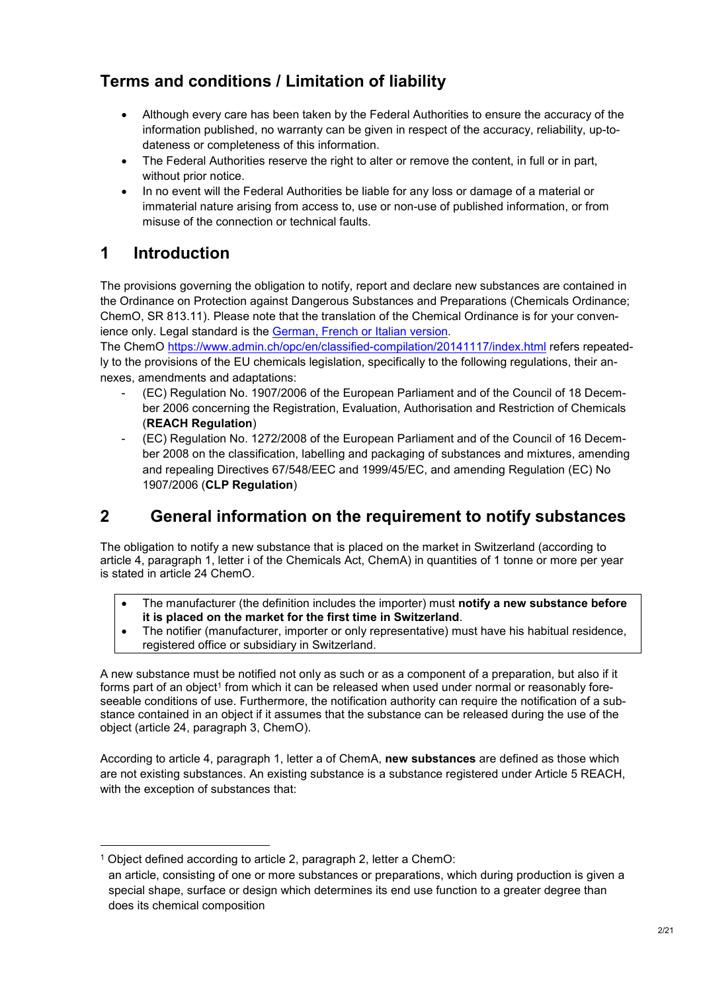# **Terms and conditions / Limitation of liability**

- Although every care has been taken by the Federal Authorities to ensure the accuracy of the information published, no warranty can be given in respect of the accuracy, reliability, up-todateness or completeness of this information.
- The Federal Authorities reserve the right to alter or remove the content, in full or in part, without prior notice.
- In no event will the Federal Authorities be liable for any loss or damage of a material or immaterial nature arising from access to, use or non-use of published information, or from misuse of the connection or technical faults.

### **1 Introduction**

The provisions governing the obligation to notify, report and declare new substances are contained in the Ordinance on Protection against Dangerous Substances and Preparations (Chemicals Ordinance; ChemO, SR 813.11). Please note that the translation of the Chemical Ordinance is for your convenience only. Legal standard is the German, French or Italian version.

The ChemO https://www.admin.ch/opc/en/classified-compilation/20141117/index.html refers repeatedly to the provisions of the EU chemicals legislation, specifically to the following regulations, their annexes, amendments and adaptations:

- (EC) Regulation No. 1907/2006 of the European Parliament and of the Council of 18 December 2006 concerning the Registration, Evaluation, Authorisation and Restriction of Chemicals (**REACH Regulation**)
- (EC) Regulation No. 1272/2008 of the European Parliament and of the Council of 16 December 2008 on the classification, labelling and packaging of substances and mixtures, amending and repealing Directives 67/548/EEC and 1999/45/EC, and amending Regulation (EC) No 1907/2006 (**CLP Regulation**)

### **2 General information on the requirement to notify substances**

The obligation to notify a new substance that is placed on the market in Switzerland (according to article 4, paragraph 1, letter i of the Chemicals Act, ChemA) in quantities of 1 tonne or more per year is stated in article 24 ChemO.

- The manufacturer (the definition includes the importer) must **notify a new substance before it is placed on the market for the first time in Switzerland**.
- The notifier (manufacturer, importer or only representative) must have his habitual residence, registered office or subsidiary in Switzerland.

A new substance must be notified not only as such or as a component of a preparation, but also if it forms part of an object $^{\rm 1}$  from which it can be released when used under normal or reasonably foreseeable conditions of use. Furthermore, the notification authority can require the notification of a substance contained in an object if it assumes that the substance can be released during the use of the object (article 24, paragraph 3, ChemO).

According to article 4, paragraph 1, letter a of ChemA, **new substances** are defined as those which are not existing substances. An existing substance is a substance registered under Article 5 REACH, with the exception of substances that:

-

<sup>1</sup> Object defined according to article 2, paragraph 2, letter a ChemO:

an article, consisting of one or more substances or preparations, which during production is given a special shape, surface or design which determines its end use function to a greater degree than does its chemical composition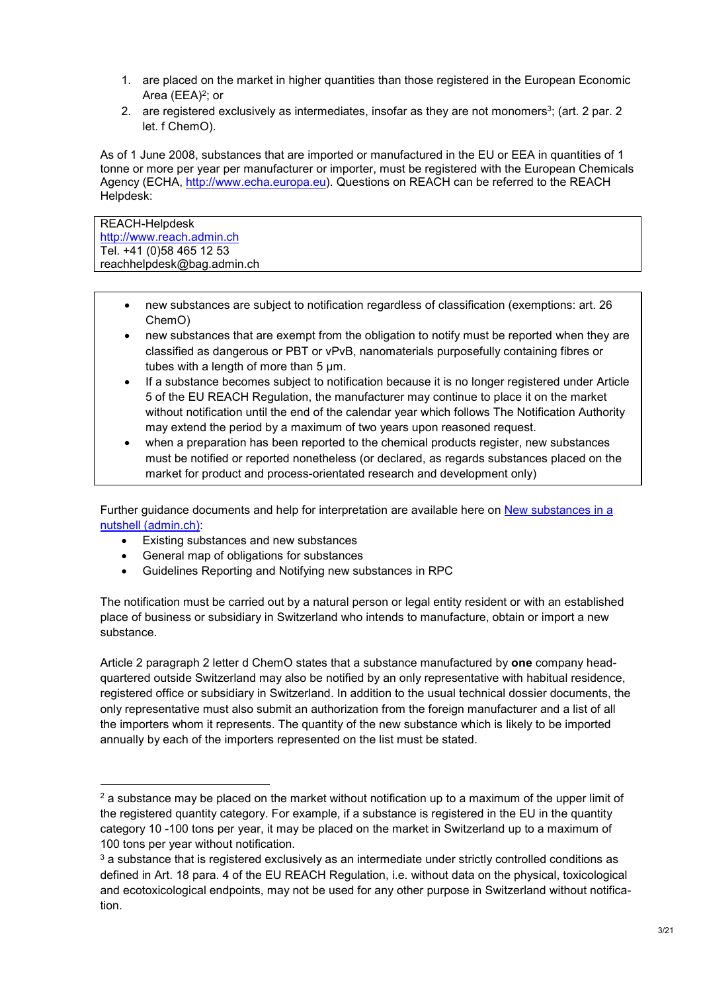- 1. are placed on the market in higher quantities than those registered in the European Economic Area (EEA)<sup>2</sup>; or
- 2.  $\,$  are registered exclusively as intermediates, insofar as they are not monomers $^3$ ; (art. 2 par. 2  $\,$ let. f ChemO).

As of 1 June 2008, substances that are imported or manufactured in the EU or EEA in quantities of 1 tonne or more per year per manufacturer or importer, must be registered with the European Chemicals Agency (ECHA, http://www.echa.europa.eu). Questions on REACH can be referred to the REACH Helpdesk:

REACH-Helpdesk http://www.reach.admin.ch Tel. +41 (0)58 465 12 53 reachhelpdesk@bag.admin.ch

 $\overline{a}$ 

- new substances are subject to notification regardless of classification (exemptions: art. 26 ChemO)
- new substances that are exempt from the obligation to notify must be reported when they are classified as dangerous or PBT or vPvB, nanomaterials purposefully containing fibres or tubes with a length of more than 5 μm.
- If a substance becomes subject to notification because it is no longer registered under Article 5 of the EU REACH Regulation, the manufacturer may continue to place it on the market without notification until the end of the calendar year which follows The Notification Authority may extend the period by a maximum of two years upon reasoned request.
- when a preparation has been reported to the chemical products register, new substances must be notified or reported nonetheless (or declared, as regards substances placed on the market for product and process-orientated research and development only)

Further guidance documents and help for interpretation are available here on New substances in a nutshell (admin.ch):

- Existing substances and new substances
- General map of obligations for substances
- Guidelines Reporting and Notifying new substances in RPC

The notification must be carried out by a natural person or legal entity resident or with an established place of business or subsidiary in Switzerland who intends to manufacture, obtain or import a new substance.

Article 2 paragraph 2 letter d ChemO states that a substance manufactured by **one** company headquartered outside Switzerland may also be notified by an only representative with habitual residence, registered office or subsidiary in Switzerland. In addition to the usual technical dossier documents, the only representative must also submit an authorization from the foreign manufacturer and a list of all the importers whom it represents. The quantity of the new substance which is likely to be imported annually by each of the importers represented on the list must be stated.

 $^{\rm 2}$  a substance may be placed on the market without notification up to a maximum of the upper limit of the registered quantity category. For example, if a substance is registered in the EU in the quantity category 10 -100 tons per year, it may be placed on the market in Switzerland up to a maximum of 100 tons per year without notification.

 $^{\rm 3}$  a substance that is registered exclusively as an intermediate under strictly controlled conditions as defined in Art. 18 para. 4 of the EU REACH Regulation, i.e. without data on the physical, toxicological and ecotoxicological endpoints, may not be used for any other purpose in Switzerland without notification.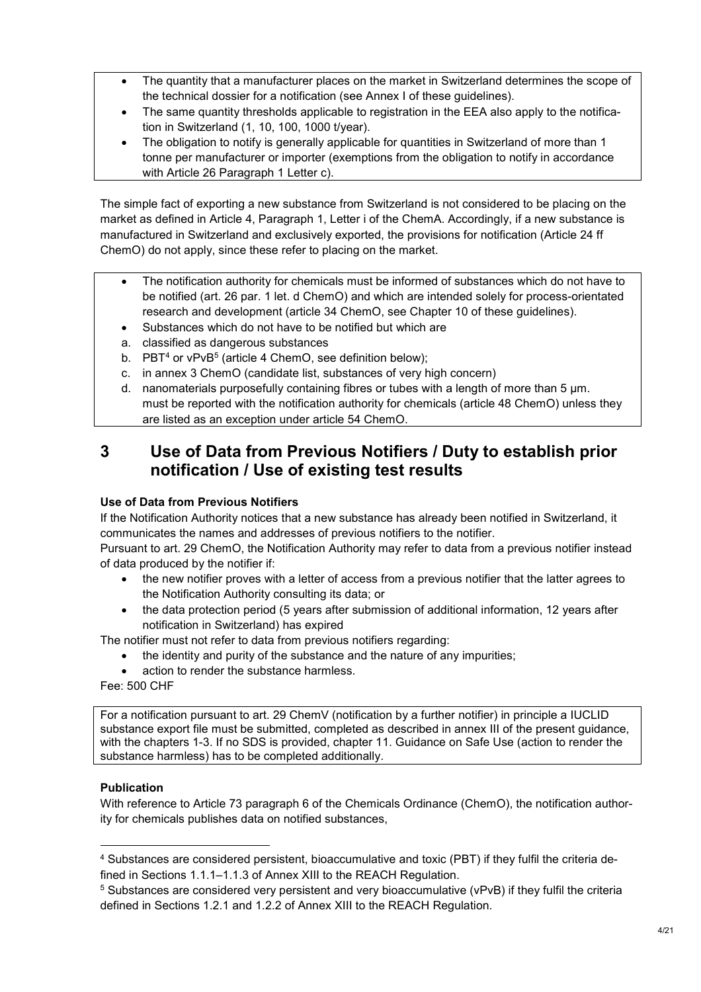- The quantity that a manufacturer places on the market in Switzerland determines the scope of the technical dossier for a notification (see Annex I of these guidelines).
- The same quantity thresholds applicable to registration in the EEA also apply to the notification in Switzerland (1, 10, 100, 1000 t/year).
- The obligation to notify is generally applicable for quantities in Switzerland of more than 1 tonne per manufacturer or importer (exemptions from the obligation to notify in accordance with Article 26 Paragraph 1 Letter c).

The simple fact of exporting a new substance from Switzerland is not considered to be placing on the market as defined in Article 4, Paragraph 1, Letter i of the ChemA. Accordingly, if a new substance is manufactured in Switzerland and exclusively exported, the provisions for notification (Article 24 ff ChemO) do not apply, since these refer to placing on the market.

- The notification authority for chemicals must be informed of substances which do not have to be notified (art. 26 par. 1 let. d ChemO) and which are intended solely for process-orientated research and development (article 34 ChemO, see Chapter 10 of these guidelines).
- Substances which do not have to be notified but which are
- a. classified as dangerous substances
- b. PBT<sup>4</sup> or vPvB<sup>5</sup> (article 4 ChemO, see definition below);
- c. in annex 3 ChemO (candidate list, substances of very high concern)
- d. nanomaterials purposefully containing fibres or tubes with a length of more than 5 μm. must be reported with the notification authority for chemicals (article 48 ChemO) unless they are listed as an exception under article 54 ChemO.

### **3 Use of Data from Previous Notifiers / Duty to establish prior notification / Use of existing test results**

#### **Use of Data from Previous Notifiers**

If the Notification Authority notices that a new substance has already been notified in Switzerland, it communicates the names and addresses of previous notifiers to the notifier.

Pursuant to art. 29 ChemO, the Notification Authority may refer to data from a previous notifier instead of data produced by the notifier if:

- the new notifier proves with a letter of access from a previous notifier that the latter agrees to the Notification Authority consulting its data; or
- the data protection period (5 years after submission of additional information, 12 years after notification in Switzerland) has expired

The notifier must not refer to data from previous notifiers regarding:

- the identity and purity of the substance and the nature of any impurities;
- action to render the substance harmless.

Fee: 500 CHF

For a notification pursuant to art. 29 ChemV (notification by a further notifier) in principle a IUCLID substance export file must be submitted, completed as described in annex III of the present guidance, with the chapters 1-3. If no SDS is provided, chapter 11. Guidance on Safe Use (action to render the substance harmless) has to be completed additionally.

#### **Publication**

-

With reference to Article 73 paragraph 6 of the Chemicals Ordinance (ChemO), the notification authority for chemicals publishes data on notified substances,

<sup>4</sup> Substances are considered persistent, bioaccumulative and toxic (PBT) if they fulfil the criteria defined in Sections 1.1.1–1.1.3 of Annex XIII to the REACH Regulation.

 $^5$  Substances are considered very persistent and very bioaccumulative (vPvB) if they fulfil the criteria defined in Sections 1.2.1 and 1.2.2 of Annex XIII to the REACH Regulation.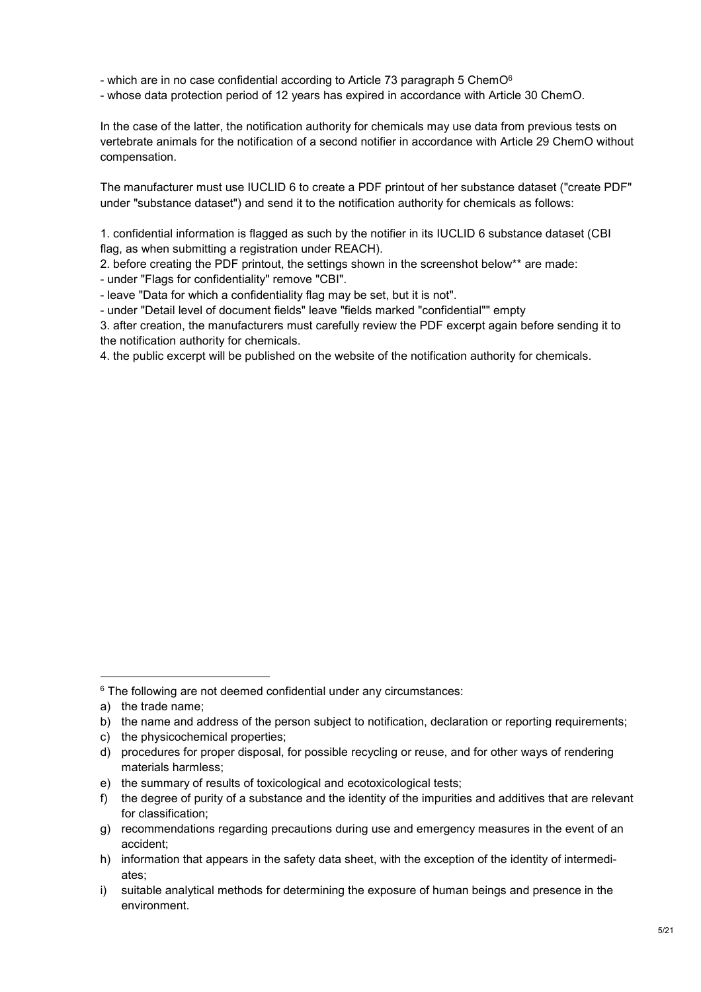- which are in no case confidential according to Article 73 paragraph 5 ChemO<sup>6</sup>
- whose data protection period of 12 years has expired in accordance with Article 30 ChemO.

In the case of the latter, the notification authority for chemicals may use data from previous tests on vertebrate animals for the notification of a second notifier in accordance with Article 29 ChemO without compensation.

The manufacturer must use IUCLID 6 to create a PDF printout of her substance dataset ("create PDF" under "substance dataset") and send it to the notification authority for chemicals as follows:

1. confidential information is flagged as such by the notifier in its IUCLID 6 substance dataset (CBI flag, as when submitting a registration under REACH).

2. before creating the PDF printout, the settings shown in the screenshot below\*\* are made:

- under "Flags for confidentiality" remove "CBI".

- leave "Data for which a confidentiality flag may be set, but it is not".

- under "Detail level of document fields" leave "fields marked "confidential"" empty

3. after creation, the manufacturers must carefully review the PDF excerpt again before sending it to the notification authority for chemicals.

4. the public excerpt will be published on the website of the notification authority for chemicals.

 $\overline{a}$ 

c) the physicochemical properties;

<sup>6</sup> The following are not deemed confidential under any circumstances:

a) the trade name;

b) the name and address of the person subject to notification, declaration or reporting requirements;

d) procedures for proper disposal, for possible recycling or reuse, and for other ways of rendering materials harmless;

e) the summary of results of toxicological and ecotoxicological tests;

f) the degree of purity of a substance and the identity of the impurities and additives that are relevant for classification;

g) recommendations regarding precautions during use and emergency measures in the event of an accident;

h) information that appears in the safety data sheet, with the exception of the identity of intermediates;

i) suitable analytical methods for determining the exposure of human beings and presence in the environment.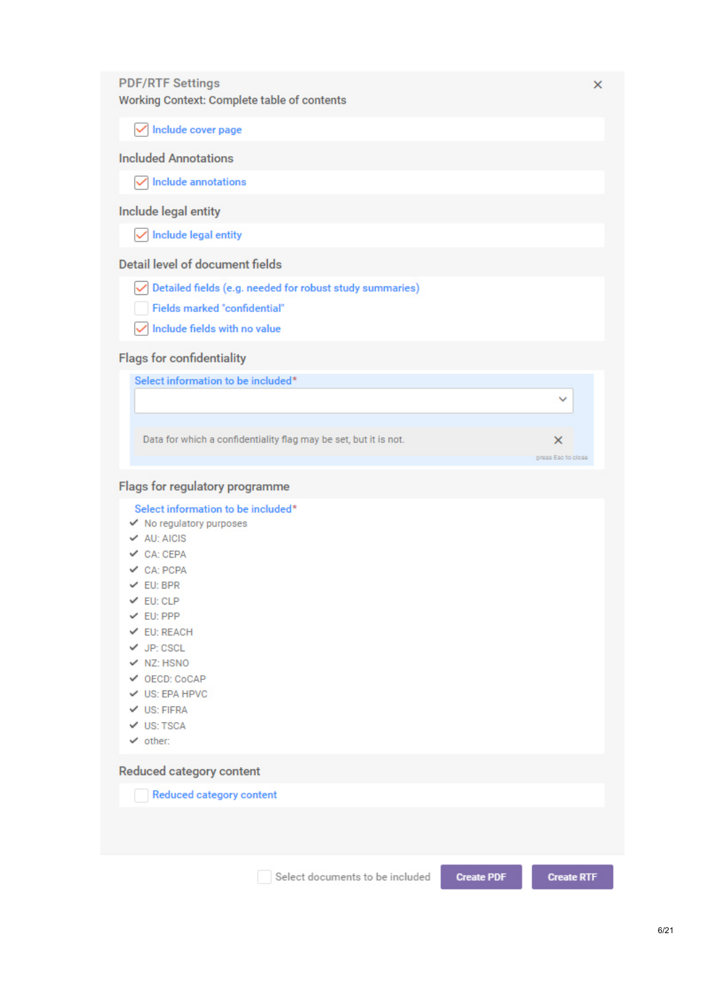#### **PDF/RTF Settings**

Working Context: Complete table of contents

 $\sqrt{\ }$  Include cover page

#### **Included Annotations**

 $\sqrt{\phantom{a}}$  Include annotations

#### Include legal entity

 $\sqrt{\phantom{a}}$  Include legal entity

#### **Detail level of document fields**

 $\boxed{\checkmark}$  Detailed fields (e.g. needed for robust study summaries)

- **Fields marked "confidential"**
- $\sqrt{\ }$  Include fields with no value

#### **Flags for confidentiality**

Select information to be included\*

Data for which a confidentiality flag may be set, but it is not.

 $\times$ 

 $\ddot{\phantom{0}}$ 

 $\times$ 

press Esc to close

#### Flags for regulatory programme

Select information to be included\*

- $\checkmark$  No regulatory purposes
- $\vee$  AU: AICIS
- $\vee$  CA: CEPA
- $\vee$  CA: PCPA
- $\vee$  EU: BPR
- $V$  EU; CLP
- $V$  EU: PPP
- $V$  EU: REACH
- $\checkmark$  JP: CSCL
- $\vee$  NZ: HSNO
- OECD: CoCAP
- ✔ US: EPA HPVC
- $\vee$  US: FIFRA
- $V$  US: TSCA
- $\checkmark$  other:

#### Reduced category content

Reduced category content

Select documents to be included

**Create PDF** 

**Create RTF**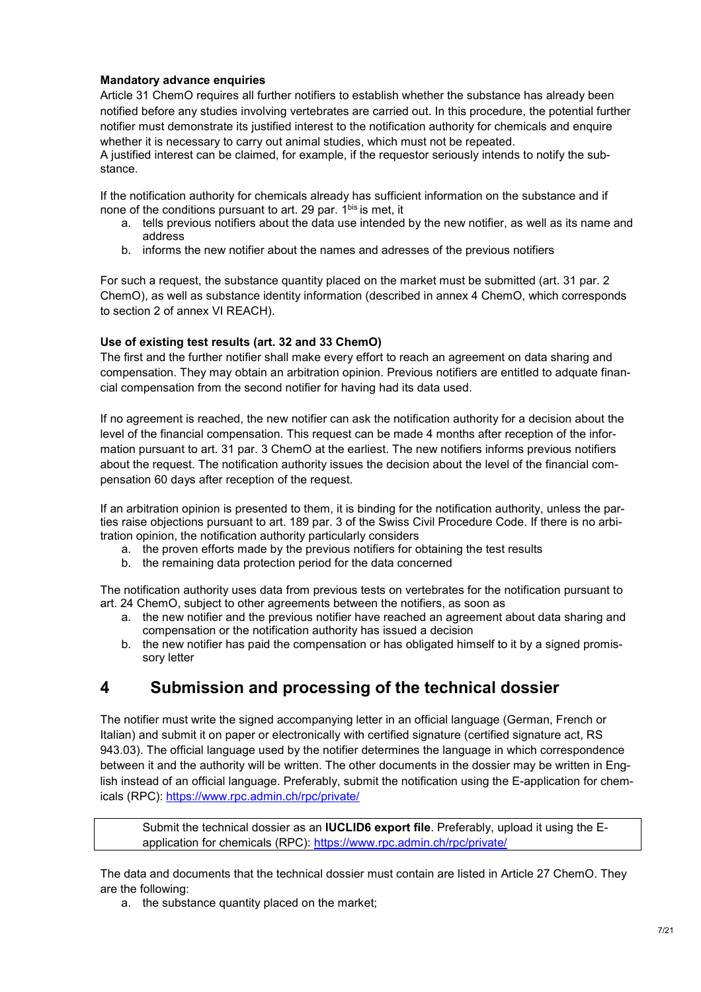#### **Mandatory advance enquiries**

Article 31 ChemO requires all further notifiers to establish whether the substance has already been notified before any studies involving vertebrates are carried out. In this procedure, the potential further notifier must demonstrate its justified interest to the notification authority for chemicals and enquire whether it is necessary to carry out animal studies, which must not be repeated. A justified interest can be claimed, for example, if the requestor seriously intends to notify the substance.

If the notification authority for chemicals already has sufficient information on the substance and if none of the conditions pursuant to art. 29 par. 1bis is met, it

- a. tells previous notifiers about the data use intended by the new notifier, as well as its name and address
- b. informs the new notifier about the names and adresses of the previous notifiers

For such a request, the substance quantity placed on the market must be submitted (art. 31 par. 2 ChemO), as well as substance identity information (described in annex 4 ChemO, which corresponds to section 2 of annex VI REACH).

#### **Use of existing test results (art. 32 and 33 ChemO)**

The first and the further notifier shall make every effort to reach an agreement on data sharing and compensation. They may obtain an arbitration opinion. Previous notifiers are entitled to adquate financial compensation from the second notifier for having had its data used.

If no agreement is reached, the new notifier can ask the notification authority for a decision about the level of the financial compensation. This request can be made 4 months after reception of the information pursuant to art. 31 par. 3 ChemO at the earliest. The new notifiers informs previous notifiers about the request. The notification authority issues the decision about the level of the financial compensation 60 days after reception of the request.

If an arbitration opinion is presented to them, it is binding for the notification authority, unless the parties raise objections pursuant to art. 189 par. 3 of the Swiss Civil Procedure Code. If there is no arbitration opinion, the notification authority particularly considers

- a. the proven efforts made by the previous notifiers for obtaining the test results
- b. the remaining data protection period for the data concerned

The notification authority uses data from previous tests on vertebrates for the notification pursuant to art. 24 ChemO, subject to other agreements between the notifiers, as soon as

- a. the new notifier and the previous notifier have reached an agreement about data sharing and compensation or the notification authority has issued a decision
- b. the new notifier has paid the compensation or has obligated himself to it by a signed promissory letter

### **4 Submission and processing of the technical dossier**

The notifier must write the signed accompanying letter in an official language (German, French or Italian) and submit it on paper or electronically with certified signature (certified signature act, RS 943.03). The official language used by the notifier determines the language in which correspondence between it and the authority will be written. The other documents in the dossier may be written in English instead of an official language. Preferably, submit the notification using the E-application for chemicals (RPC): https://www.rpc.admin.ch/rpc/private/

Submit the technical dossier as an **IUCLID6 export file**. Preferably, upload it using the Eapplication for chemicals (RPC): https://www.rpc.admin.ch/rpc/private/

The data and documents that the technical dossier must contain are listed in Article 27 ChemO. They are the following:

a. the substance quantity placed on the market;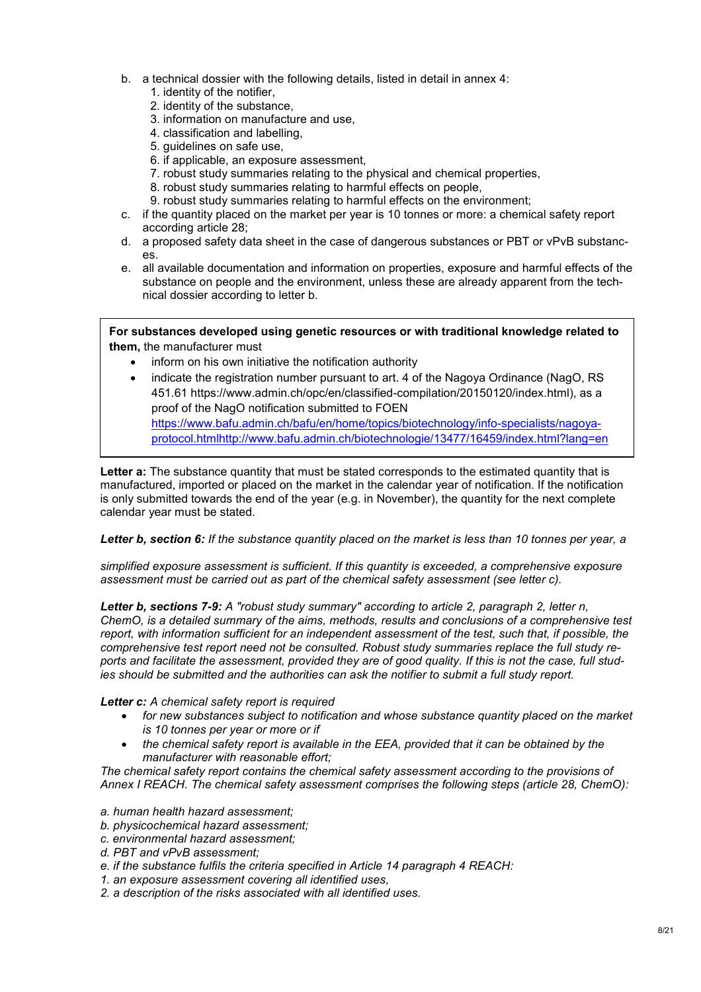- b. a technical dossier with the following details, listed in detail in annex 4:
	- 1. identity of the notifier,
	- 2. identity of the substance,
	- 3. information on manufacture and use,
	- 4. classification and labelling,
	- 5. guidelines on safe use,
	- 6. if applicable, an exposure assessment,
	- 7. robust study summaries relating to the physical and chemical properties,
	- 8. robust study summaries relating to harmful effects on people,
	- 9. robust study summaries relating to harmful effects on the environment;
- c. if the quantity placed on the market per year is 10 tonnes or more: a chemical safety report according article 28;
- d. a proposed safety data sheet in the case of dangerous substances or PBT or vPvB substances.
- e. all available documentation and information on properties, exposure and harmful effects of the substance on people and the environment, unless these are already apparent from the technical dossier according to letter b.

**For substances developed using genetic resources or with traditional knowledge related to them,** the manufacturer must

- inform on his own initiative the notification authority
- indicate the registration number pursuant to art. 4 of the Nagoya Ordinance (NagO, RS 451.61 https://www.admin.ch/opc/en/classified-compilation/20150120/index.html), as a proof of the NagO notification submitted to FOEN https://www.bafu.admin.ch/bafu/en/home/topics/biotechnology/info-specialists/nagoyaprotocol.htmlhttp://www.bafu.admin.ch/biotechnologie/13477/16459/index.html?lang=en

Letter a: The substance quantity that must be stated corresponds to the estimated quantity that is manufactured, imported or placed on the market in the calendar year of notification. If the notification is only submitted towards the end of the year (e.g. in November), the quantity for the next complete calendar year must be stated.

*Letter b, section 6: If the substance quantity placed on the market is less than 10 tonnes per year, a* 

*simplified exposure assessment is sufficient. If this quantity is exceeded, a comprehensive exposure assessment must be carried out as part of the chemical safety assessment (see letter c).* 

*Letter b, sections 7-9: A "robust study summary" according to article 2, paragraph 2, letter n, ChemO, is a detailed summary of the aims, methods, results and conclusions of a comprehensive test report, with information sufficient for an independent assessment of the test, such that, if possible, the comprehensive test report need not be consulted. Robust study summaries replace the full study reports and facilitate the assessment, provided they are of good quality. If this is not the case, full studies should be submitted and the authorities can ask the notifier to submit a full study report.* 

*Letter c: A chemical safety report is required* 

- *for new substances subject to notification and whose substance quantity placed on the market is 10 tonnes per year or more or if*
- *the chemical safety report is available in the EEA, provided that it can be obtained by the manufacturer with reasonable effort;*

*The chemical safety report contains the chemical safety assessment according to the provisions of Annex I REACH. The chemical safety assessment comprises the following steps (article 28, ChemO):* 

- *a. human health hazard assessment;*
- *b. physicochemical hazard assessment;*
- *c. environmental hazard assessment;*
- *d. PBT and vPvB assessment;*
- *e. if the substance fulfils the criteria specified in Article 14 paragraph 4 REACH:*
- *1. an exposure assessment covering all identified uses,*
- *2. a description of the risks associated with all identified uses.*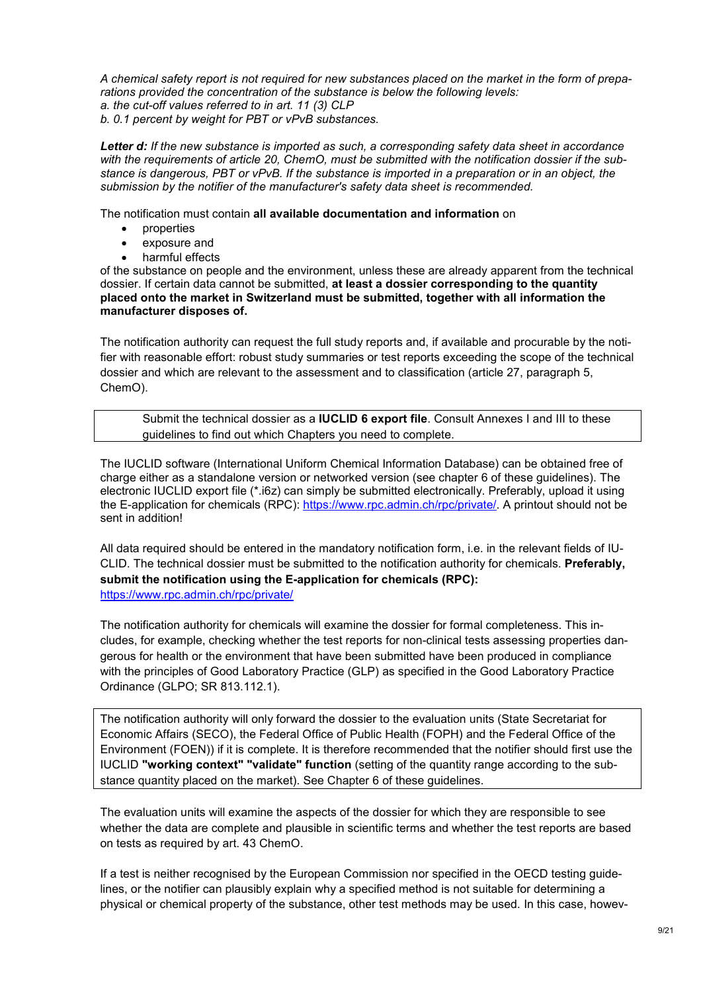*A chemical safety report is not required for new substances placed on the market in the form of preparations provided the concentration of the substance is below the following levels:* 

*a. the cut-off values referred to in art. 11 (3) CLP b. 0.1 percent by weight for PBT or vPvB substances.* 

*Letter d: If the new substance is imported as such, a corresponding safety data sheet in accordance with the requirements of article 20, ChemO, must be submitted with the notification dossier if the substance is dangerous, PBT or vPvB. If the substance is imported in a preparation or in an object, the submission by the notifier of the manufacturer's safety data sheet is recommended.*

The notification must contain **all available documentation and information** on

- properties
- exposure and
- harmful effects

of the substance on people and the environment, unless these are already apparent from the technical dossier. If certain data cannot be submitted, **at least a dossier corresponding to the quantity placed onto the market in Switzerland must be submitted, together with all information the manufacturer disposes of.**

The notification authority can request the full study reports and, if available and procurable by the notifier with reasonable effort: robust study summaries or test reports exceeding the scope of the technical dossier and which are relevant to the assessment and to classification (article 27, paragraph 5, ChemO).

Submit the technical dossier as a **IUCLID 6 export file**. Consult Annexes I and III to these guidelines to find out which Chapters you need to complete.

The IUCLID software (International Uniform Chemical Information Database) can be obtained free of charge either as a standalone version or networked version (see chapter 6 of these guidelines). The electronic IUCLID export file (\*.i6z) can simply be submitted electronically. Preferably, upload it using the E-application for chemicals (RPC): https://www.rpc.admin.ch/rpc/private/. A printout should not be sent in addition!

All data required should be entered in the mandatory notification form, i.e. in the relevant fields of IU-CLID. The technical dossier must be submitted to the notification authority for chemicals. **Preferably, submit the notification using the E-application for chemicals (RPC):**  https://www.rpc.admin.ch/rpc/private/

The notification authority for chemicals will examine the dossier for formal completeness. This includes, for example, checking whether the test reports for non-clinical tests assessing properties dangerous for health or the environment that have been submitted have been produced in compliance with the principles of Good Laboratory Practice (GLP) as specified in the Good Laboratory Practice Ordinance (GLPO; SR 813.112.1).

The notification authority will only forward the dossier to the evaluation units (State Secretariat for Economic Affairs (SECO), the Federal Office of Public Health (FOPH) and the Federal Office of the Environment (FOEN)) if it is complete. It is therefore recommended that the notifier should first use the IUCLID **"working context" "validate" function** (setting of the quantity range according to the substance quantity placed on the market). See Chapter 6 of these guidelines.

The evaluation units will examine the aspects of the dossier for which they are responsible to see whether the data are complete and plausible in scientific terms and whether the test reports are based on tests as required by art. 43 ChemO.

If a test is neither recognised by the European Commission nor specified in the OECD testing guidelines, or the notifier can plausibly explain why a specified method is not suitable for determining a physical or chemical property of the substance, other test methods may be used. In this case, howev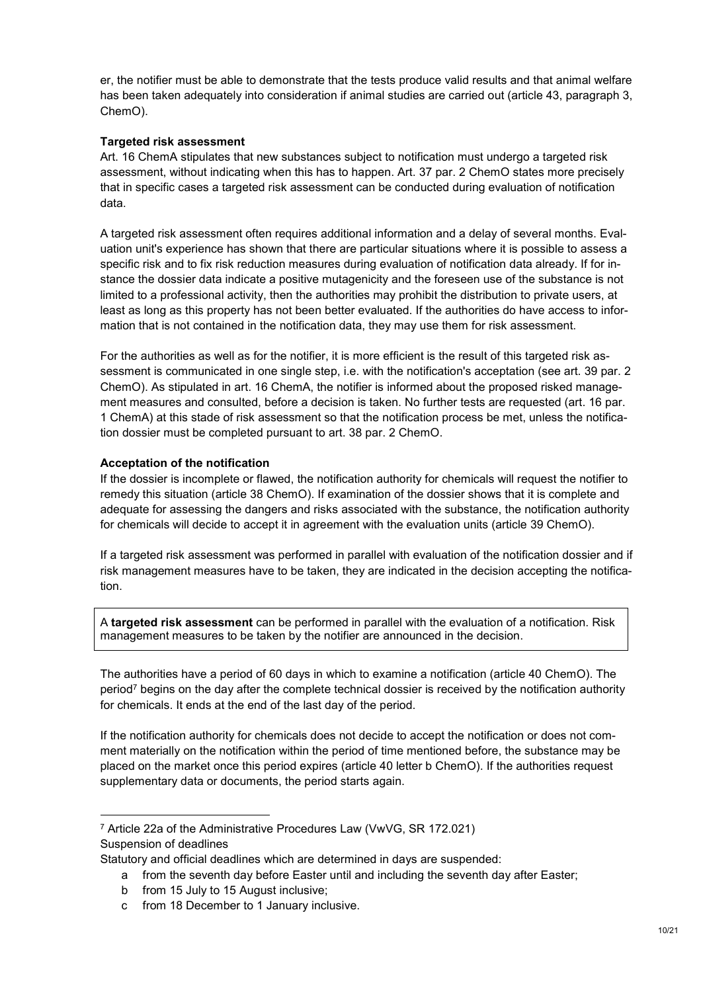er, the notifier must be able to demonstrate that the tests produce valid results and that animal welfare has been taken adequately into consideration if animal studies are carried out (article 43, paragraph 3, ChemO).

#### **Targeted risk assessment**

Art. 16 ChemA stipulates that new substances subject to notification must undergo a targeted risk assessment, without indicating when this has to happen. Art. 37 par. 2 ChemO states more precisely that in specific cases a targeted risk assessment can be conducted during evaluation of notification data.

A targeted risk assessment often requires additional information and a delay of several months. Evaluation unit's experience has shown that there are particular situations where it is possible to assess a specific risk and to fix risk reduction measures during evaluation of notification data already. If for instance the dossier data indicate a positive mutagenicity and the foreseen use of the substance is not limited to a professional activity, then the authorities may prohibit the distribution to private users, at least as long as this property has not been better evaluated. If the authorities do have access to information that is not contained in the notification data, they may use them for risk assessment.

For the authorities as well as for the notifier, it is more efficient is the result of this targeted risk assessment is communicated in one single step, i.e. with the notification's acceptation (see art. 39 par. 2 ChemO). As stipulated in art. 16 ChemA, the notifier is informed about the proposed risked management measures and consulted, before a decision is taken. No further tests are requested (art. 16 par. 1 ChemA) at this stade of risk assessment so that the notification process be met, unless the notification dossier must be completed pursuant to art. 38 par. 2 ChemO.

#### **Acceptation of the notification**

If the dossier is incomplete or flawed, the notification authority for chemicals will request the notifier to remedy this situation (article 38 ChemO). If examination of the dossier shows that it is complete and adequate for assessing the dangers and risks associated with the substance, the notification authority for chemicals will decide to accept it in agreement with the evaluation units (article 39 ChemO).

If a targeted risk assessment was performed in parallel with evaluation of the notification dossier and if risk management measures have to be taken, they are indicated in the decision accepting the notification.

A **targeted risk assessment** can be performed in parallel with the evaluation of a notification. Risk management measures to be taken by the notifier are announced in the decision.

The authorities have a period of 60 days in which to examine a notification (article 40 ChemO). The period<sup>7</sup> begins on the day after the complete technical dossier is received by the notification authority for chemicals. It ends at the end of the last day of the period.

If the notification authority for chemicals does not decide to accept the notification or does not comment materially on the notification within the period of time mentioned before, the substance may be placed on the market once this period expires (article 40 letter b ChemO). If the authorities request supplementary data or documents, the period starts again.

<sup>7</sup> Article 22a of the Administrative Procedures Law (VwVG, SR 172.021) Suspension of deadlines

-

Statutory and official deadlines which are determined in days are suspended:

a from the seventh day before Easter until and including the seventh day after Easter;

b from 15 July to 15 August inclusive;

c from 18 December to 1 January inclusive.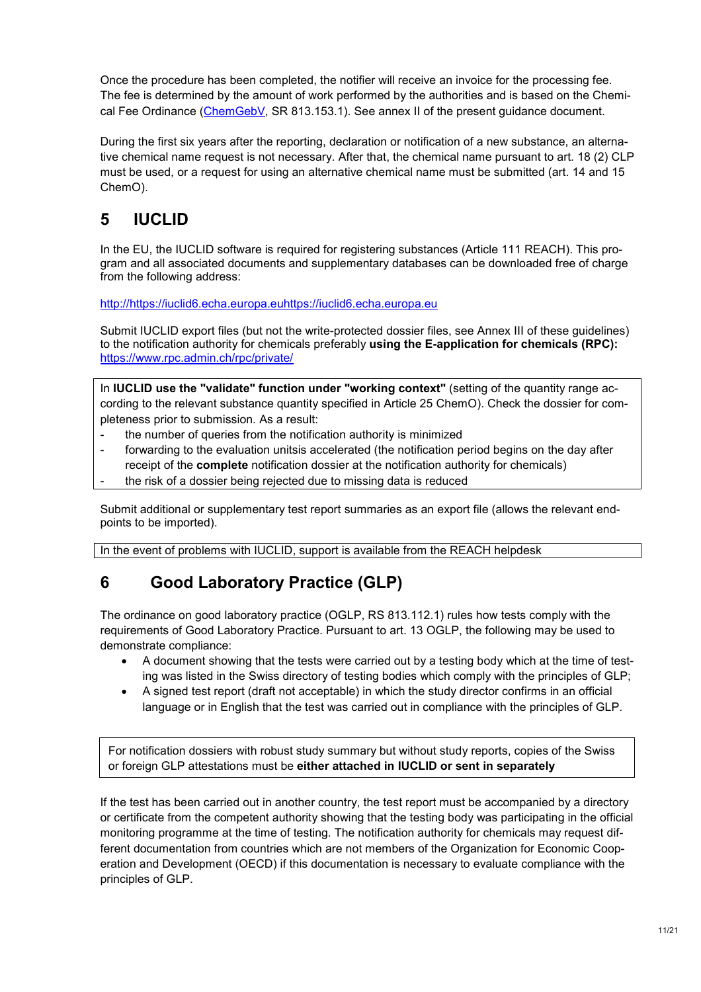Once the procedure has been completed, the notifier will receive an invoice for the processing fee. The fee is determined by the amount of work performed by the authorities and is based on the Chemical Fee Ordinance (ChemGebV, SR 813.153.1). See annex II of the present quidance document.

During the first six years after the reporting, declaration or notification of a new substance, an alternative chemical name request is not necessary. After that, the chemical name pursuant to art. 18 (2) CLP must be used, or a request for using an alternative chemical name must be submitted (art. 14 and 15 ChemO).

# **5 IUCLID**

In the EU, the IUCLID software is required for registering substances (Article 111 REACH). This program and all associated documents and supplementary databases can be downloaded free of charge from the following address:

http://https://iuclid6.echa.europa.euhttps://iuclid6.echa.europa.eu

Submit IUCLID export files (but not the write-protected dossier files, see Annex III of these guidelines) to the notification authority for chemicals preferably **using the E-application for chemicals (RPC):** https://www.rpc.admin.ch/rpc/private/

In **IUCLID use the "validate" function under "working context"** (setting of the quantity range according to the relevant substance quantity specified in Article 25 ChemO). Check the dossier for completeness prior to submission. As a result:

- the number of queries from the notification authority is minimized
- forwarding to the evaluation unitsis accelerated (the notification period begins on the day after receipt of the **complete** notification dossier at the notification authority for chemicals)
- the risk of a dossier being rejected due to missing data is reduced

Submit additional or supplementary test report summaries as an export file (allows the relevant endpoints to be imported).

In the event of problems with IUCLID, support is available from the REACH helpdesk

### **6 Good Laboratory Practice (GLP)**

The ordinance on good laboratory practice (OGLP, RS 813.112.1) rules how tests comply with the requirements of Good Laboratory Practice. Pursuant to art. 13 OGLP, the following may be used to demonstrate compliance:

- A document showing that the tests were carried out by a testing body which at the time of testing was listed in the Swiss directory of testing bodies which comply with the principles of GLP;
- A signed test report (draft not acceptable) in which the study director confirms in an official language or in English that the test was carried out in compliance with the principles of GLP.

For notification dossiers with robust study summary but without study reports, copies of the Swiss or foreign GLP attestations must be **either attached in IUCLID or sent in separately**

If the test has been carried out in another country, the test report must be accompanied by a directory or certificate from the competent authority showing that the testing body was participating in the official monitoring programme at the time of testing. The notification authority for chemicals may request different documentation from countries which are not members of the Organization for Economic Cooperation and Development (OECD) if this documentation is necessary to evaluate compliance with the principles of GLP.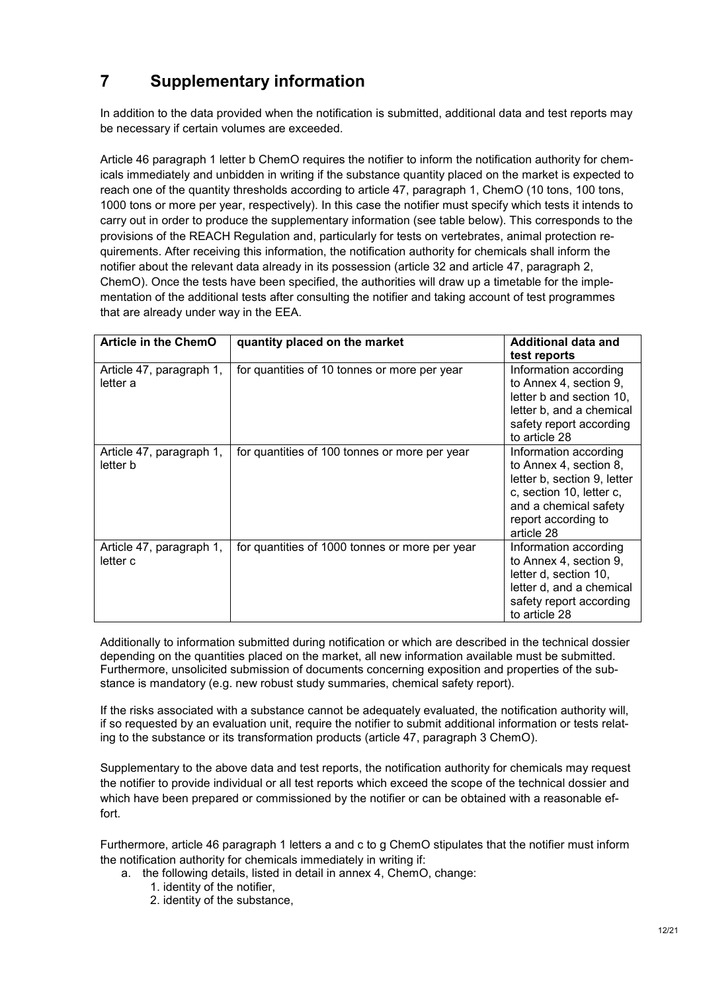# **7 Supplementary information**

In addition to the data provided when the notification is submitted, additional data and test reports may be necessary if certain volumes are exceeded.

Article 46 paragraph 1 letter b ChemO requires the notifier to inform the notification authority for chemicals immediately and unbidden in writing if the substance quantity placed on the market is expected to reach one of the quantity thresholds according to article 47, paragraph 1, ChemO (10 tons, 100 tons, 1000 tons or more per year, respectively). In this case the notifier must specify which tests it intends to carry out in order to produce the supplementary information (see table below). This corresponds to the provisions of the REACH Regulation and, particularly for tests on vertebrates, animal protection requirements. After receiving this information, the notification authority for chemicals shall inform the notifier about the relevant data already in its possession (article 32 and article 47, paragraph 2, ChemO). Once the tests have been specified, the authorities will draw up a timetable for the implementation of the additional tests after consulting the notifier and taking account of test programmes that are already under way in the EEA.

| <b>Article in the ChemO</b>          | quantity placed on the market                  | Additional data and<br>test reports                                                                                                                                      |
|--------------------------------------|------------------------------------------------|--------------------------------------------------------------------------------------------------------------------------------------------------------------------------|
| Article 47, paragraph 1,<br>letter a | for quantities of 10 tonnes or more per year   | Information according<br>to Annex 4, section 9,<br>letter b and section 10,<br>letter b, and a chemical<br>safety report according<br>to article 28                      |
| Article 47, paragraph 1,<br>letter b | for quantities of 100 tonnes or more per year  | Information according<br>to Annex 4, section 8,<br>letter b, section 9, letter<br>c, section 10, letter c,<br>and a chemical safety<br>report according to<br>article 28 |
| Article 47, paragraph 1,<br>letter c | for quantities of 1000 tonnes or more per year | Information according<br>to Annex 4, section 9,<br>letter d, section 10,<br>letter d, and a chemical<br>safety report according<br>to article 28                         |

Additionally to information submitted during notification or which are described in the technical dossier depending on the quantities placed on the market, all new information available must be submitted. Furthermore, unsolicited submission of documents concerning exposition and properties of the substance is mandatory (e.g. new robust study summaries, chemical safety report).

If the risks associated with a substance cannot be adequately evaluated, the notification authority will, if so requested by an evaluation unit, require the notifier to submit additional information or tests relating to the substance or its transformation products (article 47, paragraph 3 ChemO).

Supplementary to the above data and test reports, the notification authority for chemicals may request the notifier to provide individual or all test reports which exceed the scope of the technical dossier and which have been prepared or commissioned by the notifier or can be obtained with a reasonable effort.

Furthermore, article 46 paragraph 1 letters a and c to g ChemO stipulates that the notifier must inform the notification authority for chemicals immediately in writing if:

- a. the following details, listed in detail in annex 4, ChemO, change:
	- 1. identity of the notifier,
	- 2. identity of the substance,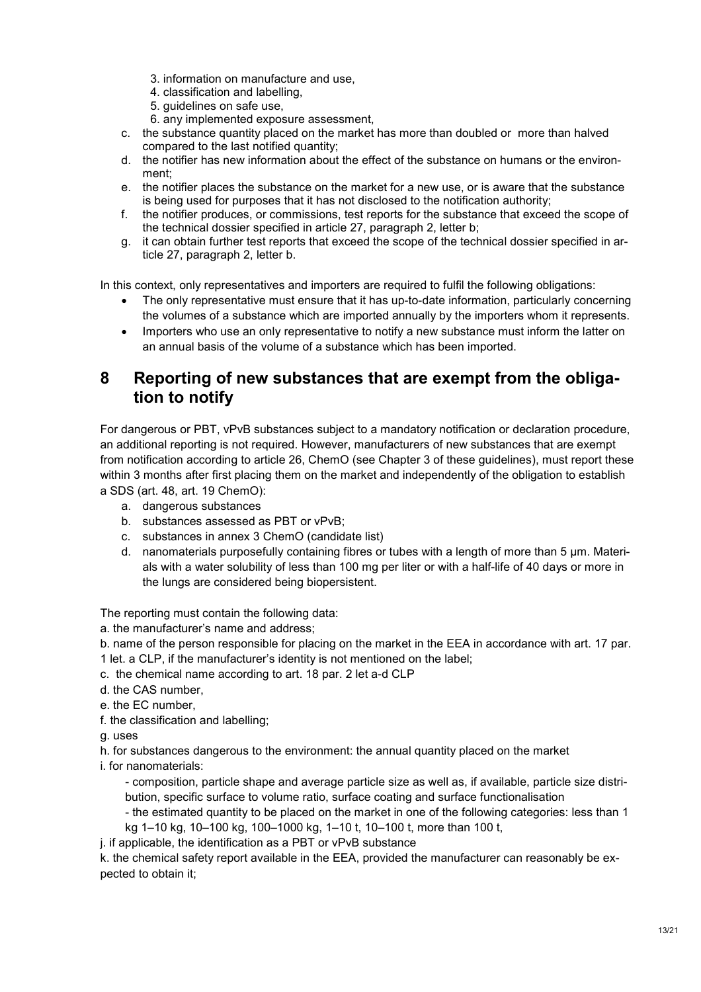- 3. information on manufacture and use,
- 4. classification and labelling,
- 5. guidelines on safe use,
- 6. any implemented exposure assessment,
- c. the substance quantity placed on the market has more than doubled or more than halved compared to the last notified quantity;
- d. the notifier has new information about the effect of the substance on humans or the environment;
- e. the notifier places the substance on the market for a new use, or is aware that the substance is being used for purposes that it has not disclosed to the notification authority;
- f. the notifier produces, or commissions, test reports for the substance that exceed the scope of the technical dossier specified in article 27, paragraph 2, letter b;
- g. it can obtain further test reports that exceed the scope of the technical dossier specified in article 27, paragraph 2, letter b.

In this context, only representatives and importers are required to fulfil the following obligations:

- The only representative must ensure that it has up-to-date information, particularly concerning the volumes of a substance which are imported annually by the importers whom it represents.
- Importers who use an only representative to notify a new substance must inform the latter on an annual basis of the volume of a substance which has been imported.

### **8 Reporting of new substances that are exempt from the obligation to notify**

For dangerous or PBT, vPvB substances subject to a mandatory notification or declaration procedure, an additional reporting is not required. However, manufacturers of new substances that are exempt from notification according to article 26, ChemO (see Chapter 3 of these guidelines), must report these within 3 months after first placing them on the market and independently of the obligation to establish a SDS (art. 48, art. 19 ChemO):

- a. dangerous substances
- b. substances assessed as PBT or vPvB;
- c. substances in annex 3 ChemO (candidate list)
- d. nanomaterials purposefully containing fibres or tubes with a length of more than 5 μm. Materials with a water solubility of less than 100 mg per liter or with a half-life of 40 days or more in the lungs are considered being biopersistent.

The reporting must contain the following data:

- a. the manufacturer's name and address;
- b. name of the person responsible for placing on the market in the EEA in accordance with art. 17 par.
- 1 let. a CLP, if the manufacturer's identity is not mentioned on the label;
- c. the chemical name according to art. 18 par. 2 let a-d CLP
- d. the CAS number,
- e. the EC number,
- f. the classification and labelling;

g. uses

- h. for substances dangerous to the environment: the annual quantity placed on the market
- i. for nanomaterials:
	- composition, particle shape and average particle size as well as, if available, particle size distribution, specific surface to volume ratio, surface coating and surface functionalisation
	- the estimated quantity to be placed on the market in one of the following categories: less than 1
	- kg 1–10 kg, 10–100 kg, 100–1000 kg, 1–10 t, 10–100 t, more than 100 t,
- j. if applicable, the identification as a PBT or vPvB substance

k. the chemical safety report available in the EEA, provided the manufacturer can reasonably be expected to obtain it;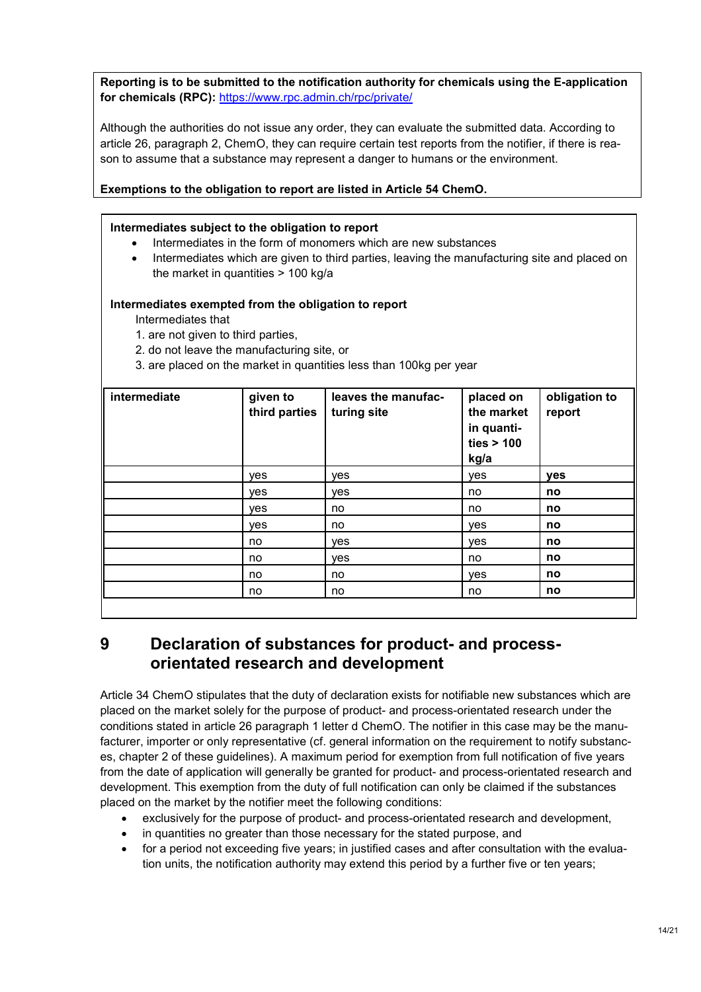**Reporting is to be submitted to the notification authority for chemicals using the E-application for chemicals (RPC):** https://www.rpc.admin.ch/rpc/private/

Although the authorities do not issue any order, they can evaluate the submitted data. According to article 26, paragraph 2, ChemO, they can require certain test reports from the notifier, if there is reason to assume that a substance may represent a danger to humans or the environment.

#### **Exemptions to the obligation to report are listed in Article 54 ChemO.**

#### **Intermediates subject to the obligation to report**

- Intermediates in the form of monomers which are new substances
- Intermediates which are given to third parties, leaving the manufacturing site and placed on the market in quantities > 100 kg/a

#### **Intermediates exempted from the obligation to report**

Intermediates that

1. are not given to third parties,

2. do not leave the manufacturing site, or

3. are placed on the market in quantities less than 100kg per year

| intermediate | given to<br>third parties | leaves the manufac-<br>turing site | placed on<br>the market<br>in quanti-<br>ties > 100<br>kg/a | obligation to<br>report |
|--------------|---------------------------|------------------------------------|-------------------------------------------------------------|-------------------------|
|              | ves                       | yes                                | yes                                                         | yes                     |
|              | yes                       | yes                                | no                                                          | no                      |
|              | yes                       | no                                 | no                                                          | no                      |
|              | yes                       | no                                 | yes                                                         | no                      |
|              | no                        | yes                                | yes                                                         | no                      |
|              | no                        | yes                                | no                                                          | no                      |
|              | no                        | no                                 | yes                                                         | no                      |
|              | no                        | no                                 | no                                                          | no                      |

**9 Declaration of substances for product- and processorientated research and development** 

Article 34 ChemO stipulates that the duty of declaration exists for notifiable new substances which are placed on the market solely for the purpose of product- and process-orientated research under the conditions stated in article 26 paragraph 1 letter d ChemO. The notifier in this case may be the manufacturer, importer or only representative (cf. general information on the requirement to notify substances, chapter 2 of these guidelines). A maximum period for exemption from full notification of five years from the date of application will generally be granted for product- and process-orientated research and development. This exemption from the duty of full notification can only be claimed if the substances placed on the market by the notifier meet the following conditions:

- exclusively for the purpose of product- and process-orientated research and development,
- in quantities no greater than those necessary for the stated purpose, and
- for a period not exceeding five years; in justified cases and after consultation with the evaluation units, the notification authority may extend this period by a further five or ten years;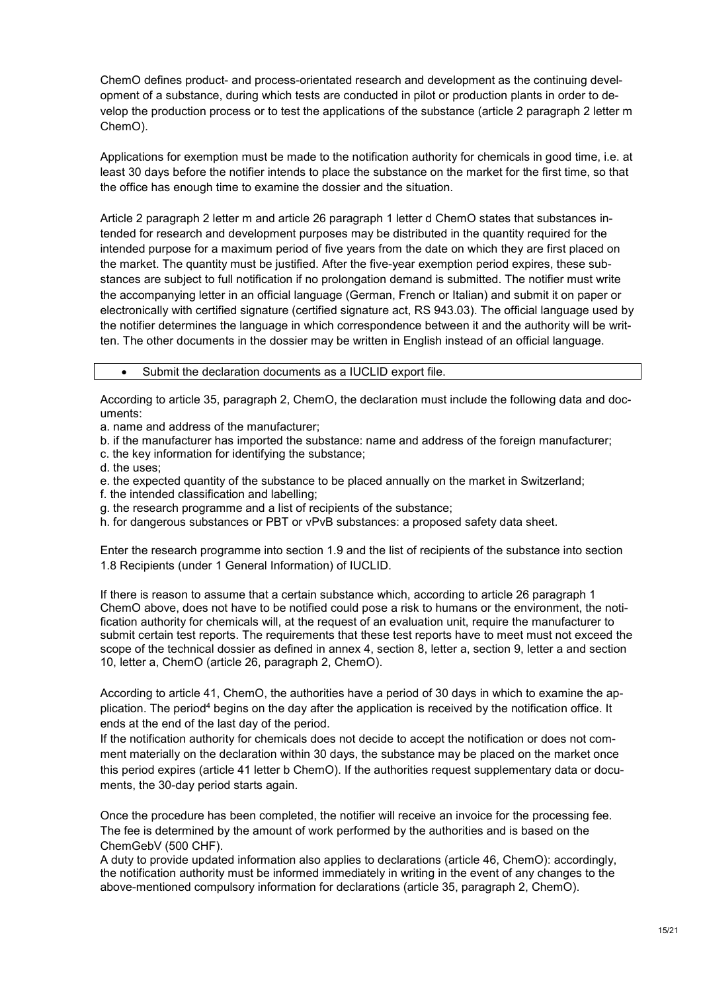ChemO defines product- and process-orientated research and development as the continuing development of a substance, during which tests are conducted in pilot or production plants in order to develop the production process or to test the applications of the substance (article 2 paragraph 2 letter m ChemO).

Applications for exemption must be made to the notification authority for chemicals in good time, i.e. at least 30 days before the notifier intends to place the substance on the market for the first time, so that the office has enough time to examine the dossier and the situation.

Article 2 paragraph 2 letter m and article 26 paragraph 1 letter d ChemO states that substances intended for research and development purposes may be distributed in the quantity required for the intended purpose for a maximum period of five years from the date on which they are first placed on the market. The quantity must be justified. After the five-year exemption period expires, these substances are subject to full notification if no prolongation demand is submitted. The notifier must write the accompanying letter in an official language (German, French or Italian) and submit it on paper or electronically with certified signature (certified signature act, RS 943.03). The official language used by the notifier determines the language in which correspondence between it and the authority will be written. The other documents in the dossier may be written in English instead of an official language.

#### Submit the declaration documents as a IUCLID export file.

According to article 35, paragraph 2, ChemO, the declaration must include the following data and documents:

a. name and address of the manufacturer;

b. if the manufacturer has imported the substance: name and address of the foreign manufacturer;

c. the key information for identifying the substance;

d. the uses;

- e. the expected quantity of the substance to be placed annually on the market in Switzerland;
- f. the intended classification and labelling;
- g. the research programme and a list of recipients of the substance;
- h. for dangerous substances or PBT or vPvB substances: a proposed safety data sheet.

Enter the research programme into section 1.9 and the list of recipients of the substance into section 1.8 Recipients (under 1 General Information) of IUCLID.

If there is reason to assume that a certain substance which, according to article 26 paragraph 1 ChemO above, does not have to be notified could pose a risk to humans or the environment, the notification authority for chemicals will, at the request of an evaluation unit, require the manufacturer to submit certain test reports. The requirements that these test reports have to meet must not exceed the scope of the technical dossier as defined in annex 4, section 8, letter a, section 9, letter a and section 10, letter a, ChemO (article 26, paragraph 2, ChemO).

According to article 41, ChemO, the authorities have a period of 30 days in which to examine the application. The period<sup>4</sup> begins on the day after the application is received by the notification office. It ends at the end of the last day of the period.

If the notification authority for chemicals does not decide to accept the notification or does not comment materially on the declaration within 30 days, the substance may be placed on the market once this period expires (article 41 letter b ChemO). If the authorities request supplementary data or documents, the 30-day period starts again.

Once the procedure has been completed, the notifier will receive an invoice for the processing fee. The fee is determined by the amount of work performed by the authorities and is based on the ChemGebV (500 CHF).

A duty to provide updated information also applies to declarations (article 46, ChemO): accordingly, the notification authority must be informed immediately in writing in the event of any changes to the above-mentioned compulsory information for declarations (article 35, paragraph 2, ChemO).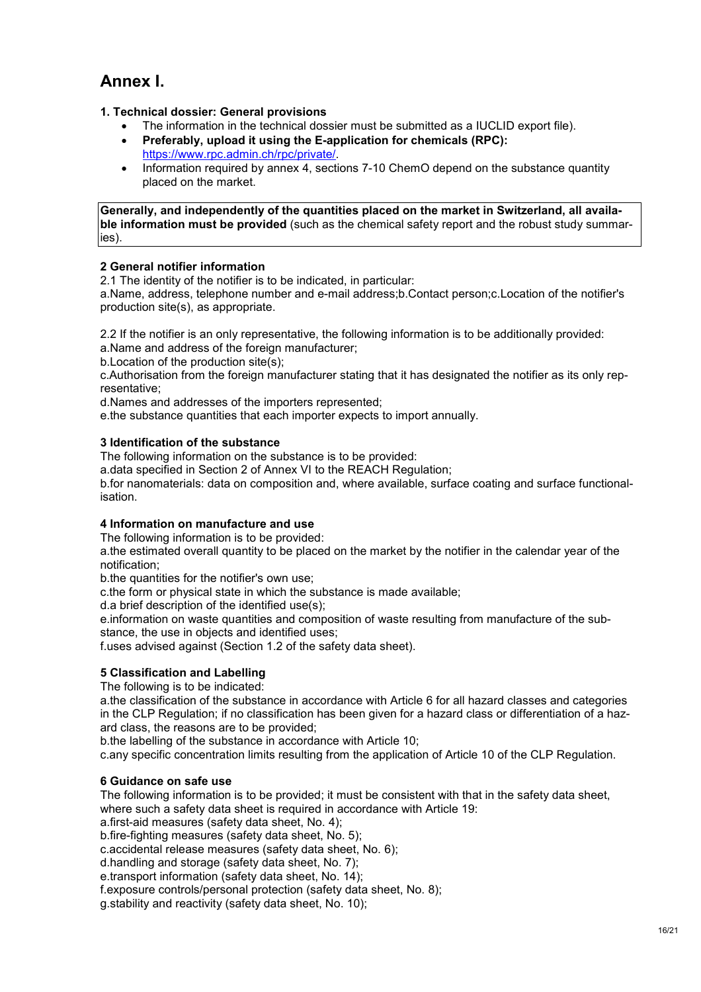# **Annex I.**

- **1. Technical dossier: General provisions** 
	- The information in the technical dossier must be submitted as a IUCLID export file).
	- **Preferably, upload it using the E-application for chemicals (RPC):** https://www.rpc.admin.ch/rpc/private/.
	- Information required by annex 4, sections 7-10 ChemO depend on the substance quantity placed on the market.

**Generally, and independently of the quantities placed on the market in Switzerland, all available information must be provided** (such as the chemical safety report and the robust study summaries).

#### **2 General notifier information**

2.1 The identity of the notifier is to be indicated, in particular:

a.Name, address, telephone number and e-mail address;b.Contact person;c.Location of the notifier's production site(s), as appropriate.

2.2 If the notifier is an only representative, the following information is to be additionally provided:

a.Name and address of the foreign manufacturer;

b.Location of the production site(s);

c.Authorisation from the foreign manufacturer stating that it has designated the notifier as its only representative;

d.Names and addresses of the importers represented;

e.the substance quantities that each importer expects to import annually.

#### **3 Identification of the substance**

The following information on the substance is to be provided:

a.data specified in Section 2 of Annex VI to the REACH Regulation;

b.for nanomaterials: data on composition and, where available, surface coating and surface functionalisation.

#### **4 Information on manufacture and use**

The following information is to be provided:

a.the estimated overall quantity to be placed on the market by the notifier in the calendar year of the notification;

b.the quantities for the notifier's own use;

c.the form or physical state in which the substance is made available;

d.a brief description of the identified use(s);

e.information on waste quantities and composition of waste resulting from manufacture of the substance, the use in objects and identified uses;

f.uses advised against (Section 1.2 of the safety data sheet).

#### **5 Classification and Labelling**

The following is to be indicated:

a.the classification of the substance in accordance with Article 6 for all hazard classes and categories in the CLP Regulation; if no classification has been given for a hazard class or differentiation of a hazard class, the reasons are to be provided;

b.the labelling of the substance in accordance with Article 10;

c.any specific concentration limits resulting from the application of Article 10 of the CLP Regulation.

#### **6 Guidance on safe use**

The following information is to be provided; it must be consistent with that in the safety data sheet, where such a safety data sheet is required in accordance with Article 19:

a.first-aid measures (safety data sheet, No. 4);

b.fire-fighting measures (safety data sheet, No. 5);

c.accidental release measures (safety data sheet, No. 6);

d.handling and storage (safety data sheet, No. 7);

e.transport information (safety data sheet, No. 14);

f.exposure controls/personal protection (safety data sheet, No. 8);

g.stability and reactivity (safety data sheet, No. 10);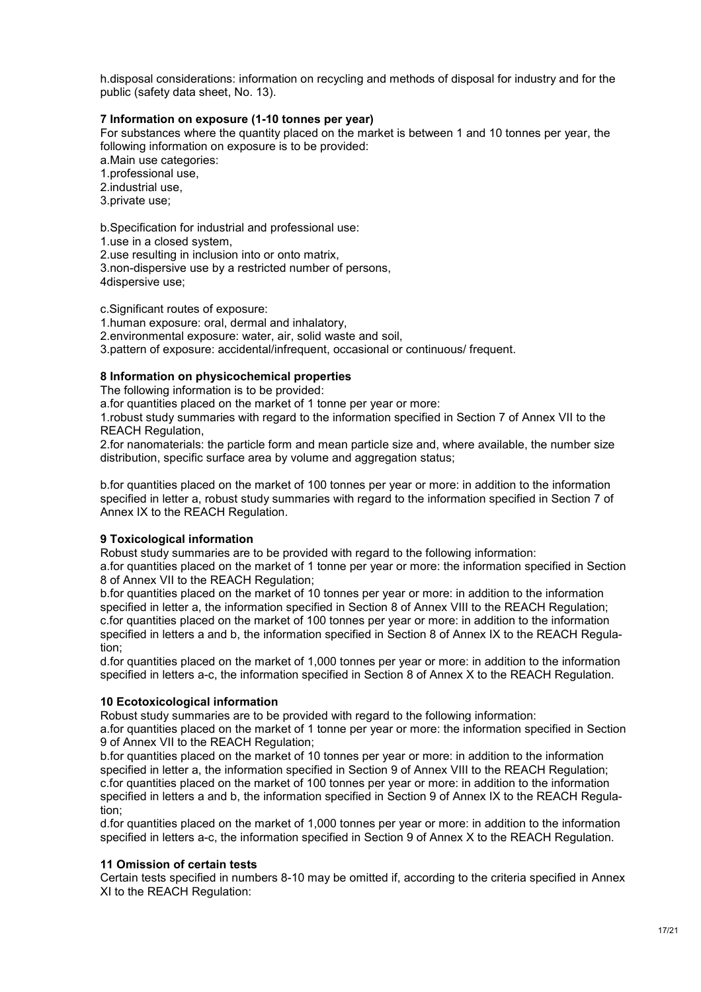h.disposal considerations: information on recycling and methods of disposal for industry and for the public (safety data sheet, No. 13).

#### **7 Information on exposure (1-10 tonnes per year)**

For substances where the quantity placed on the market is between 1 and 10 tonnes per year, the following information on exposure is to be provided:

a.Main use categories:

1.professional use,

2.industrial use,

3.private use;

b.Specification for industrial and professional use:

1.use in a closed system,

2.use resulting in inclusion into or onto matrix,

3.non-dispersive use by a restricted number of persons, 4dispersive use;

c.Significant routes of exposure:

1.human exposure: oral, dermal and inhalatory,

2.environmental exposure: water, air, solid waste and soil,

3.pattern of exposure: accidental/infrequent, occasional or continuous/ frequent.

#### **8 Information on physicochemical properties**

The following information is to be provided:

a.for quantities placed on the market of 1 tonne per year or more:

1.robust study summaries with regard to the information specified in Section 7 of Annex VII to the REACH Regulation,

2.for nanomaterials: the particle form and mean particle size and, where available, the number size distribution, specific surface area by volume and aggregation status;

b.for quantities placed on the market of 100 tonnes per year or more: in addition to the information specified in letter a, robust study summaries with regard to the information specified in Section 7 of Annex IX to the REACH Regulation.

#### **9 Toxicological information**

Robust study summaries are to be provided with regard to the following information:

a.for quantities placed on the market of 1 tonne per year or more: the information specified in Section 8 of Annex VII to the REACH Regulation;

b.for quantities placed on the market of 10 tonnes per year or more: in addition to the information specified in letter a, the information specified in Section 8 of Annex VIII to the REACH Regulation; c.for quantities placed on the market of 100 tonnes per year or more: in addition to the information specified in letters a and b, the information specified in Section 8 of Annex IX to the REACH Regulation;

d.for quantities placed on the market of 1,000 tonnes per year or more: in addition to the information specified in letters a-c, the information specified in Section 8 of Annex X to the REACH Regulation.

#### **10 Ecotoxicological information**

Robust study summaries are to be provided with regard to the following information:

a.for quantities placed on the market of 1 tonne per year or more: the information specified in Section 9 of Annex VII to the REACH Regulation;

b.for quantities placed on the market of 10 tonnes per year or more: in addition to the information specified in letter a, the information specified in Section 9 of Annex VIII to the REACH Regulation; c.for quantities placed on the market of 100 tonnes per year or more: in addition to the information specified in letters a and b, the information specified in Section 9 of Annex IX to the REACH Regulation;

d.for quantities placed on the market of 1,000 tonnes per year or more: in addition to the information specified in letters a-c, the information specified in Section 9 of Annex X to the REACH Regulation.

#### **11 Omission of certain tests**

Certain tests specified in numbers 8-10 may be omitted if, according to the criteria specified in Annex XI to the REACH Regulation: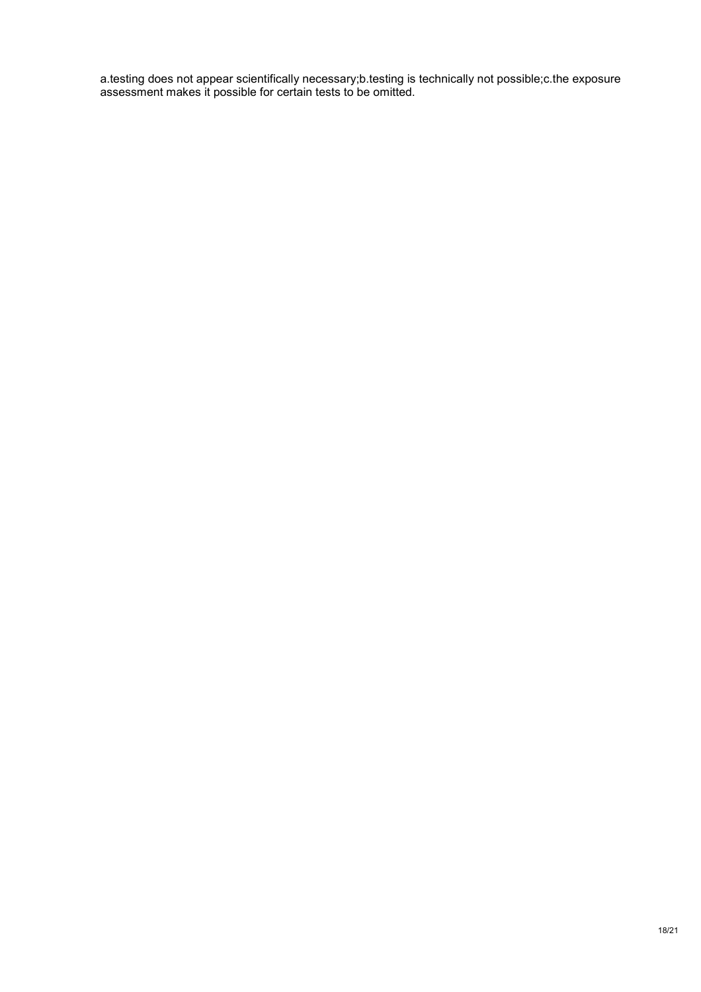a.testing does not appear scientifically necessary;b.testing is technically not possible;c.the exposure assessment makes it possible for certain tests to be omitted.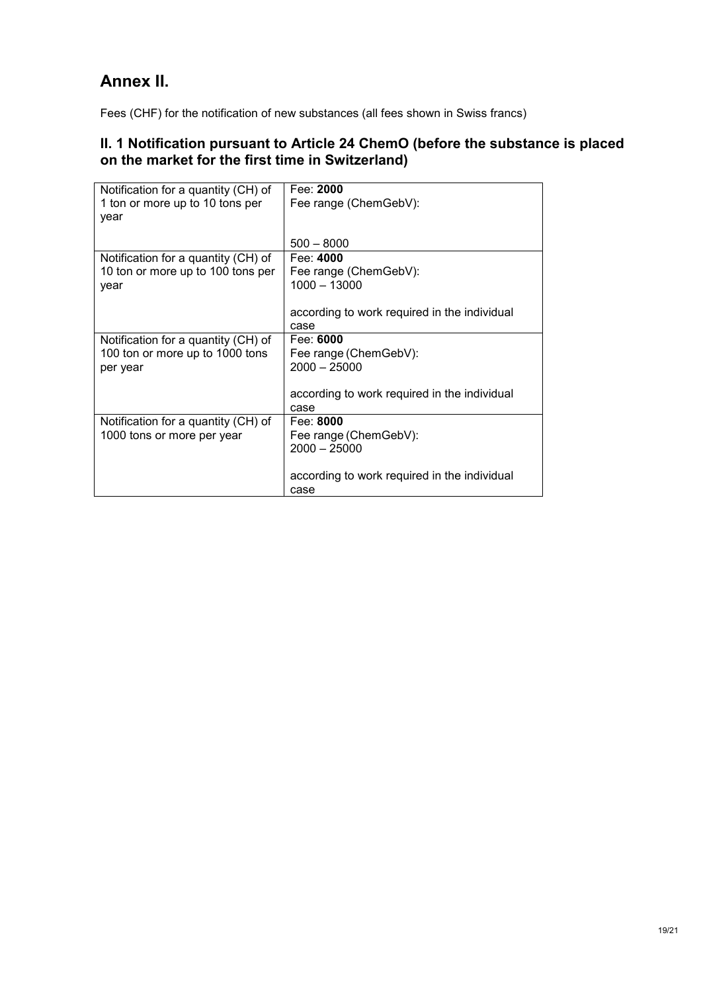### **Annex II.**

Fees (CHF) for the notification of new substances (all fees shown in Swiss francs)

### **II. 1 Notification pursuant to Article 24 ChemO (before the substance is placed on the market for the first time in Switzerland)**

| Notification for a quantity (CH) of | Fee: 2000                                    |
|-------------------------------------|----------------------------------------------|
| 1 ton or more up to 10 tons per     | Fee range (ChemGebV):                        |
| year                                |                                              |
|                                     |                                              |
|                                     | $500 - 8000$                                 |
| Notification for a quantity (CH) of | Fee: 4000                                    |
| 10 ton or more up to 100 tons per   | Fee range (ChemGebV):                        |
| year                                | $1000 - 13000$                               |
|                                     |                                              |
|                                     | according to work required in the individual |
|                                     | case                                         |
| Notification for a quantity (CH) of | Fee: 6000                                    |
| 100 ton or more up to 1000 tons     | Fee range (ChemGebV):                        |
| per year                            | $2000 - 25000$                               |
|                                     |                                              |
|                                     | according to work required in the individual |
|                                     | case                                         |
| Notification for a quantity (CH) of | Fee: 8000                                    |
| 1000 tons or more per year          | Fee range (ChemGebV):                        |
|                                     | $2000 - 25000$                               |
|                                     |                                              |
|                                     | according to work required in the individual |
|                                     | case                                         |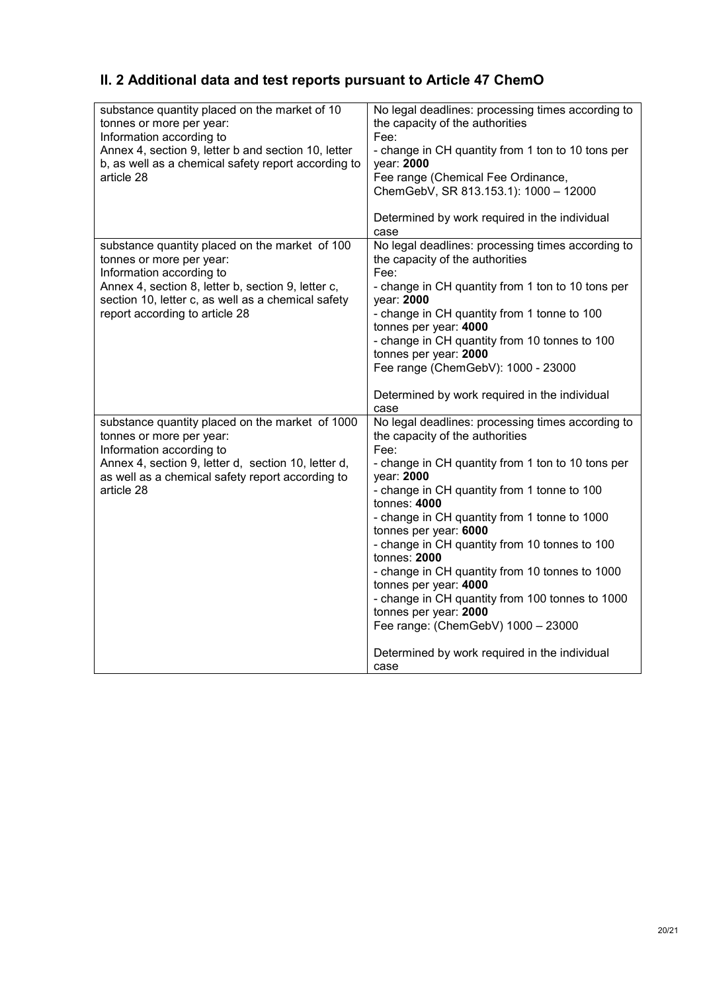### **II. 2 Additional data and test reports pursuant to Article 47 ChemO**

| substance quantity placed on the market of 10<br>tonnes or more per year:<br>Information according to<br>Annex 4, section 9, letter b and section 10, letter<br>b, as well as a chemical safety report according to<br>article 28                    | No legal deadlines: processing times according to<br>the capacity of the authorities<br>Fee:<br>- change in CH quantity from 1 ton to 10 tons per<br>year: 2000<br>Fee range (Chemical Fee Ordinance,<br>ChemGebV, SR 813.153.1): 1000 - 12000                                                                                                                                                                                                                                                                                                                                                                                 |
|------------------------------------------------------------------------------------------------------------------------------------------------------------------------------------------------------------------------------------------------------|--------------------------------------------------------------------------------------------------------------------------------------------------------------------------------------------------------------------------------------------------------------------------------------------------------------------------------------------------------------------------------------------------------------------------------------------------------------------------------------------------------------------------------------------------------------------------------------------------------------------------------|
|                                                                                                                                                                                                                                                      | Determined by work required in the individual<br>case                                                                                                                                                                                                                                                                                                                                                                                                                                                                                                                                                                          |
| substance quantity placed on the market of 100<br>tonnes or more per year:<br>Information according to<br>Annex 4, section 8, letter b, section 9, letter c,<br>section 10, letter c, as well as a chemical safety<br>report according to article 28 | No legal deadlines: processing times according to<br>the capacity of the authorities<br>Fee:<br>- change in CH quantity from 1 ton to 10 tons per<br>year: 2000<br>- change in CH quantity from 1 tonne to 100<br>tonnes per year: 4000<br>- change in CH quantity from 10 tonnes to 100<br>tonnes per year: 2000<br>Fee range (ChemGebV): 1000 - 23000                                                                                                                                                                                                                                                                        |
|                                                                                                                                                                                                                                                      | Determined by work required in the individual<br>case                                                                                                                                                                                                                                                                                                                                                                                                                                                                                                                                                                          |
| substance quantity placed on the market of 1000<br>tonnes or more per year:<br>Information according to<br>Annex 4, section 9, letter d, section 10, letter d,<br>as well as a chemical safety report according to<br>article 28                     | No legal deadlines: processing times according to<br>the capacity of the authorities<br>Fee:<br>- change in CH quantity from 1 ton to 10 tons per<br>year: 2000<br>- change in CH quantity from 1 tonne to 100<br>tonnes: 4000<br>- change in CH quantity from 1 tonne to 1000<br>tonnes per year: 6000<br>- change in CH quantity from 10 tonnes to 100<br>tonnes: 2000<br>- change in CH quantity from 10 tonnes to 1000<br>tonnes per year: 4000<br>- change in CH quantity from 100 tonnes to 1000<br>tonnes per year: 2000<br>Fee range: (ChemGebV) 1000 - 23000<br>Determined by work required in the individual<br>case |